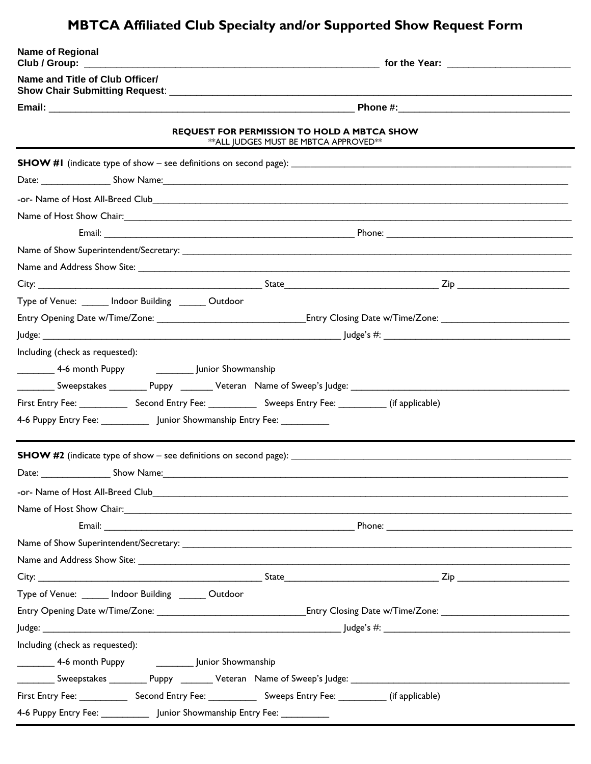## **MBTCA Affiliated Club Specialty and/or Supported Show Request Form**

| <b>Name of Regional</b>                                                                                           |                                                                                                                    |  |  |
|-------------------------------------------------------------------------------------------------------------------|--------------------------------------------------------------------------------------------------------------------|--|--|
| Name and Title of Club Officer/                                                                                   |                                                                                                                    |  |  |
|                                                                                                                   |                                                                                                                    |  |  |
|                                                                                                                   | REQUEST FOR PERMISSION TO HOLD A MBTCA SHOW<br>** ALL JUDGES MUST BE MBTCA APPROVED**                              |  |  |
|                                                                                                                   |                                                                                                                    |  |  |
|                                                                                                                   |                                                                                                                    |  |  |
|                                                                                                                   |                                                                                                                    |  |  |
|                                                                                                                   |                                                                                                                    |  |  |
|                                                                                                                   |                                                                                                                    |  |  |
|                                                                                                                   |                                                                                                                    |  |  |
|                                                                                                                   |                                                                                                                    |  |  |
|                                                                                                                   |                                                                                                                    |  |  |
| Type of Venue: ______ Indoor Building _______ Outdoor                                                             |                                                                                                                    |  |  |
|                                                                                                                   |                                                                                                                    |  |  |
|                                                                                                                   |                                                                                                                    |  |  |
| Including (check as requested):                                                                                   |                                                                                                                    |  |  |
| __________ 4-6 month Puppy _______________________ Junior Showmanship                                             |                                                                                                                    |  |  |
| __________ Sweepstakes ___________ Puppy _________ Veteran Name of Sweep's Judge: ______________                  |                                                                                                                    |  |  |
| First Entry Fee: _______________ Second Entry Fee: _______________ Sweeps Entry Fee: ____________ (if applicable) |                                                                                                                    |  |  |
| 4-6 Puppy Entry Fee: ______________ Junior Showmanship Entry Fee: _____________                                   |                                                                                                                    |  |  |
|                                                                                                                   |                                                                                                                    |  |  |
|                                                                                                                   |                                                                                                                    |  |  |
| Date: Show Name: Show Planter And Allen Contract and Allen Contract and Allen Contract and Allen Contract and A   |                                                                                                                    |  |  |
|                                                                                                                   |                                                                                                                    |  |  |
|                                                                                                                   | Name of Host Show Chair: <u>Charles Communications and the state of the state of the state of Host Show Chair:</u> |  |  |
|                                                                                                                   |                                                                                                                    |  |  |
|                                                                                                                   |                                                                                                                    |  |  |
|                                                                                                                   |                                                                                                                    |  |  |
|                                                                                                                   |                                                                                                                    |  |  |
| Type of Venue: Indoor Building Cutdoor                                                                            |                                                                                                                    |  |  |
|                                                                                                                   |                                                                                                                    |  |  |
|                                                                                                                   |                                                                                                                    |  |  |
| Including (check as requested):                                                                                   |                                                                                                                    |  |  |
|                                                                                                                   |                                                                                                                    |  |  |
|                                                                                                                   |                                                                                                                    |  |  |
| First Entry Fee: Second Entry Fee: Sweeps Entry Fee: (if applicable)                                              |                                                                                                                    |  |  |
|                                                                                                                   |                                                                                                                    |  |  |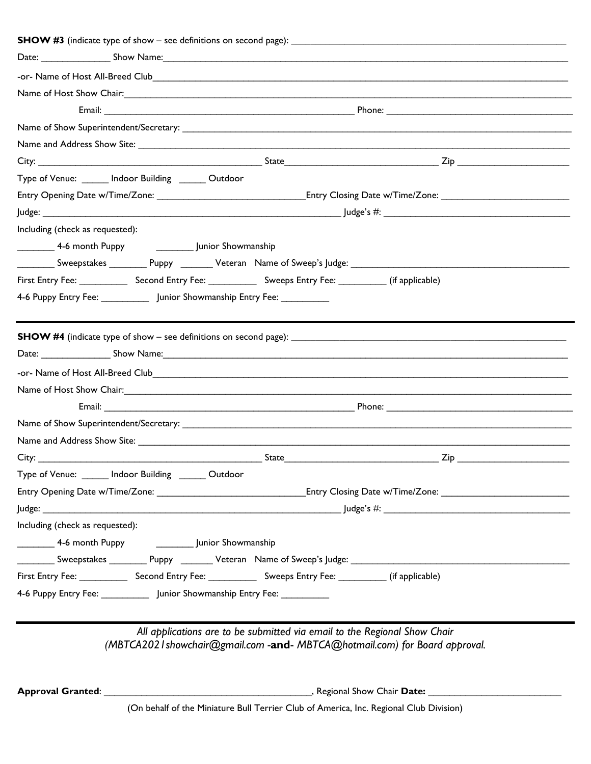| Name of Host Show Chair: <u>Alexander Chair and Chairman Chairman Chairman Chairman Chairman Chairman Chairman Chair</u> |  |                                                                           |                                                                                                                |  |
|--------------------------------------------------------------------------------------------------------------------------|--|---------------------------------------------------------------------------|----------------------------------------------------------------------------------------------------------------|--|
|                                                                                                                          |  |                                                                           |                                                                                                                |  |
|                                                                                                                          |  |                                                                           |                                                                                                                |  |
|                                                                                                                          |  |                                                                           |                                                                                                                |  |
|                                                                                                                          |  |                                                                           |                                                                                                                |  |
| Type of Venue: ______ Indoor Building ______ Outdoor                                                                     |  |                                                                           |                                                                                                                |  |
|                                                                                                                          |  |                                                                           |                                                                                                                |  |
|                                                                                                                          |  |                                                                           |                                                                                                                |  |
| Including (check as requested):                                                                                          |  |                                                                           |                                                                                                                |  |
| __________ 4-6 month Puppy _______________________ Junior Showmanship                                                    |  |                                                                           |                                                                                                                |  |
|                                                                                                                          |  |                                                                           | _________ Sweepstakes _________ Puppy ________ Veteran Name of Sweep's Judge: ________________________________ |  |
|                                                                                                                          |  |                                                                           |                                                                                                                |  |
| 4-6 Puppy Entry Fee: ______________ Junior Showmanship Entry Fee: _____________                                          |  |                                                                           |                                                                                                                |  |
|                                                                                                                          |  |                                                                           |                                                                                                                |  |
|                                                                                                                          |  |                                                                           |                                                                                                                |  |
|                                                                                                                          |  |                                                                           |                                                                                                                |  |
|                                                                                                                          |  |                                                                           |                                                                                                                |  |
|                                                                                                                          |  |                                                                           |                                                                                                                |  |
|                                                                                                                          |  |                                                                           |                                                                                                                |  |
| Type of Venue: ______ Indoor Building ______ Outdoor                                                                     |  |                                                                           |                                                                                                                |  |
|                                                                                                                          |  |                                                                           |                                                                                                                |  |
|                                                                                                                          |  |                                                                           |                                                                                                                |  |
| Including (check as requested):                                                                                          |  |                                                                           |                                                                                                                |  |
| ___________ 4-6 month Puppy ______________________ Junior Showmanship                                                    |  |                                                                           |                                                                                                                |  |
|                                                                                                                          |  |                                                                           |                                                                                                                |  |
| First Entry Fee: Second Entry Fee: Sweeps Entry Fee: (if applicable)                                                     |  |                                                                           |                                                                                                                |  |
| 4-6 Puppy Entry Fee: ______________ Junior Showmanship Entry Fee: _____________                                          |  |                                                                           |                                                                                                                |  |
|                                                                                                                          |  |                                                                           |                                                                                                                |  |
|                                                                                                                          |  | All applications are to be submitted via email to the Regional Show Chair |                                                                                                                |  |

*All applications are to be submitted via email to the Regional Show Chair (MBTCA2021showchair@gmail.com -***and**- *MBTCA@hotmail.com) for Board approval.*

**Approval Granted**: \_\_\_\_\_\_\_\_\_\_\_\_\_\_\_\_\_\_\_\_\_\_\_\_\_\_\_\_\_\_\_\_\_\_\_\_\_\_\_, Regional Show Chair **Date:** \_\_\_\_\_\_\_\_\_\_\_\_\_\_\_\_\_\_\_\_\_\_\_\_\_

(On behalf of the Miniature Bull Terrier Club of America, Inc. Regional Club Division)